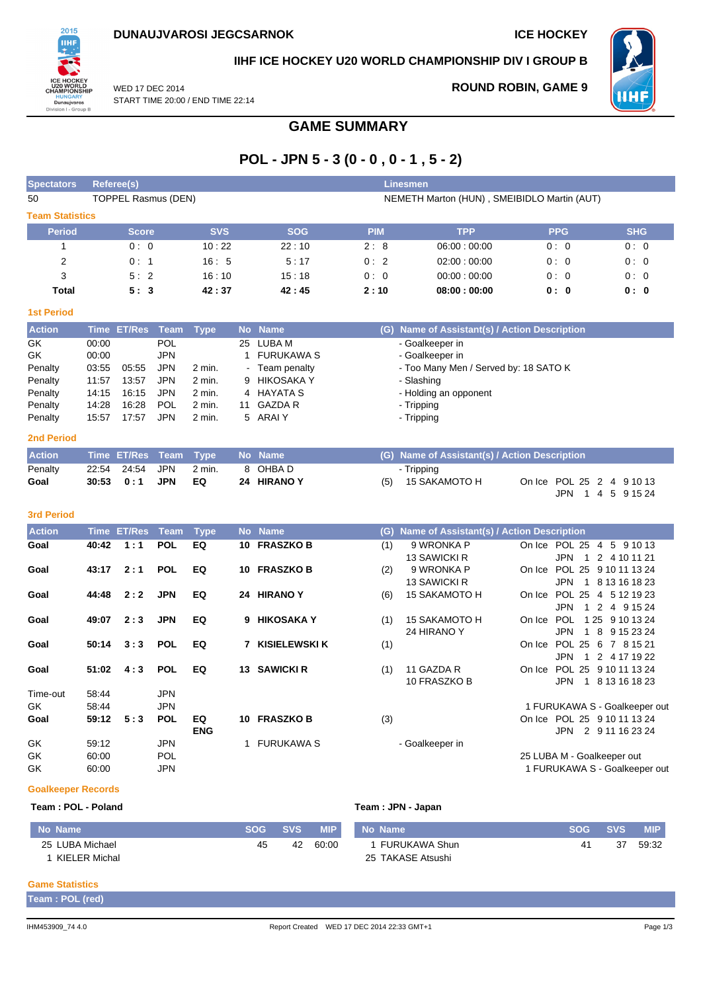**ROUND ROBIN, GAME 9**



**IIHF ICE HOCKEY U20 WORLD CHAMPIONSHIP DIV I GROUP B**

**HHI** 

WED 17 DEC 2014 START TIME 20:00 / END TIME 22:14

## **GAME SUMMARY**

# **POL - JPN 5 - 3 (0 - 0 , 0 - 1 , 5 - 2)**

| Referee(s)   |                        |                            |            |             |                 |                                             |
|--------------|------------------------|----------------------------|------------|-------------|-----------------|---------------------------------------------|
|              |                        |                            |            |             |                 |                                             |
|              |                        |                            |            |             |                 |                                             |
| <b>Score</b> | <b>SVS</b>             | <b>SOG</b>                 | <b>PIM</b> | <b>TPP</b>  | <b>PPG</b>      | <b>SHG</b>                                  |
| 0:0          | 10:22                  | 22:10                      | 2:8        | 06.00:00.00 | 0:0             | 0:0                                         |
| 0:1          | 16:5                   | 5:17                       | 0:2        | 02:00:00:00 | 0:0             | 0:0                                         |
| 5:2          | 16:10                  | 15:18                      | 0:0        | 00:00:00:00 | 0:0             | 0:0                                         |
| 5:3          | 42:37                  | 42:45                      | 2:10       | 08:00:00:00 | 0: 0            | 0: 0                                        |
|              |                        |                            |            |             |                 |                                             |
|              | <b>Team Statistics</b> | <b>TOPPEL Rasmus (DEN)</b> |            |             | <b>Linesmen</b> | NEMETH Marton (HUN), SMEIBIDLO Martin (AUT) |

| Austrian          |       | すいふく アナバウスト すっこん すいふく |            |          |           | <b>March Manager</b> | $\{0\}$ blame of besidential $\{A$ attain Decembers of |
|-------------------|-------|-----------------------|------------|----------|-----------|----------------------|--------------------------------------------------------|
| <b>2nd Period</b> |       |                       |            |          |           |                      |                                                        |
| Penalty           | 15:57 | 17:57                 | JPN        | 2 min.   |           | 5 ARAIY              | - Tripping                                             |
| Penalty           | 14:28 | 16:28                 | <b>POL</b> | $2$ min. | 11        | GAZDA R              | - Tripping                                             |
| Penalty           | 14:15 | 16:15                 | <b>JPN</b> | $2$ min. |           | 4 HAYATA S           | - Holding an opponent                                  |
| Penalty           | 11:57 | 13:57                 | <b>JPN</b> | $2$ min. |           | 9 HIKOSAKA Y         | - Slashing                                             |
| Penalty           | 03:55 | 05:55                 | <b>JPN</b> | 2 min.   |           | - Team penalty       | - Too Many Men / Served by: 18 SATO K                  |
| GK.               | 00:00 |                       | JPN.       |          |           | FURUKAWA S           | - Goalkeeper in                                        |
| GK                | 00:00 |                       | <b>POL</b> |          |           | 25 LUBA M            | - Goalkeeper in                                        |
| <b>Action</b>     |       | Time ET/Res Team Type |            |          | <b>No</b> | <b>Name</b>          | (G) Name of Assistant(s) / Action Description          |

| <b>Action</b> |                   | Time ET/Res Team Type No Name |             |     | (G) Name of Assistant(s) / Action Description |                           |
|---------------|-------------------|-------------------------------|-------------|-----|-----------------------------------------------|---------------------------|
| Penalty       |                   | 2 min.                        | 8 OHBA D    |     | - Tripping                                    |                           |
| Goal          | 30:53   0:1   JPN | EQ.                           | 24 HIRANO Y | (5) | 15 SAKAMOTO H                                 | On Ice POL 25 2 4 9 10 13 |
|               |                   |                               |             |     |                                               | JPN 1 4 5 9 15 24         |

#### **3rd Period**

| <b>Action</b> | Time  | <b>ET/Res</b> | Team       | <b>Type</b> |    | No Name              | (G) | Name of Assistant(s) / Action Description |        |                                               |
|---------------|-------|---------------|------------|-------------|----|----------------------|-----|-------------------------------------------|--------|-----------------------------------------------|
| Goal          | 40:42 | 1:1           | <b>POL</b> | EQ          | 10 | <b>FRASZKO B</b>     | (1) | 9 WRONKA P                                |        | On Ice POL 25 4 5 9 10 13                     |
|               |       |               |            |             |    |                      |     | <b>13 SAWICKI R</b>                       |        | JPN.<br>2 4 10 11 21<br>$\blacksquare$        |
| Goal          | 43:17 | 2:1           | <b>POL</b> | EQ          | 10 | <b>FRASZKOB</b>      | (2) | 9 WRONKA P                                | On Ice | POL 25 9 10 11 13 24                          |
|               |       |               |            |             |    |                      |     | <b>13 SAWICKI R</b>                       |        | <b>JPN</b><br>8 13 16 18 23<br>$\overline{1}$ |
| Goal          | 44:48 | 2:2           | <b>JPN</b> | EQ          | 24 | <b>HIRANO Y</b>      | (6) | <b>15 SAKAMOTO H</b>                      |        | On Ice POL 25<br>4 5 12 19 23                 |
|               |       |               |            |             |    |                      |     |                                           |        | JPN.<br>2<br>4 9 15 24                        |
| Goal          | 49:07 | 2:3           | <b>JPN</b> | EQ          | 9  | <b>HIKOSAKA Y</b>    | (1) | <b>15 SAKAMOTO H</b>                      | On Ice | 1 25 9 10 13 24<br><b>POL</b>                 |
|               |       |               |            |             |    |                      |     | 24 HIRANO Y                               |        | JPN.<br>8 9 15 23 24<br>$\overline{1}$        |
| Goal          | 50:14 | 3:3           | <b>POL</b> | EQ          | 7  | <b>KISIELEWSKI K</b> | (1) |                                           | On Ice | POL 25 6 7 8 15 21                            |
|               |       |               |            |             |    |                      |     |                                           |        | JPN.<br>2 4 17 19 22<br>$\overline{1}$        |
| Goal          | 51:02 | 4:3           | <b>POL</b> | EQ          | 13 | <b>SAWICKI R</b>     | (1) | 11 GAZDA R                                |        | On Ice POL 25 9 10 11 13 24                   |
|               |       |               |            |             |    |                      |     | 10 FRASZKO B                              |        | 1 8 13 16 18 23<br>JPN                        |
| Time-out      | 58:44 |               | <b>JPN</b> |             |    |                      |     |                                           |        |                                               |
| GK.           | 58:44 |               | <b>JPN</b> |             |    |                      |     |                                           |        | 1 FURUKAWA S - Goalkeeper out                 |
| Goal          | 59:12 | 5:3           | <b>POL</b> | EQ          | 10 | <b>FRASZKOB</b>      | (3) |                                           |        | On Ice POL 25 9 10 11 13 24                   |
|               |       |               |            | <b>ENG</b>  |    |                      |     |                                           |        | JPN.<br>2<br>9 11 16 23 24                    |
| GK            | 59:12 |               | <b>JPN</b> |             |    | <b>FURUKAWA S</b>    |     | - Goalkeeper in                           |        |                                               |
| GK            | 60:00 |               | <b>POL</b> |             |    |                      |     |                                           |        | 25 LUBA M - Goalkeeper out                    |
| GK            | 60:00 |               | <b>JPN</b> |             |    |                      |     |                                           |        | 1 FURUKAWA S - Goalkeeper out                 |

#### **Goalkeeper Records**

| Team : POL - Poland |    |         | Team : JPN - Japan |                   |            |            |            |  |  |  |
|---------------------|----|---------|--------------------|-------------------|------------|------------|------------|--|--|--|
| No Name             |    | SOG SVS | <b>MIP</b>         | No Name           | <b>SOG</b> | <b>SVS</b> | <b>MIP</b> |  |  |  |
| 25 LUBA Michael     | 45 | 42      | 60:00              | 1 FURUKAWA Shun   | 41         | 37         | 59:32      |  |  |  |
| KIELER Michal       |    |         |                    | 25 TAKASE Atsushi |            |            |            |  |  |  |

### **Game Statistics**

ı

**Team : POL (red)**

 $59:32$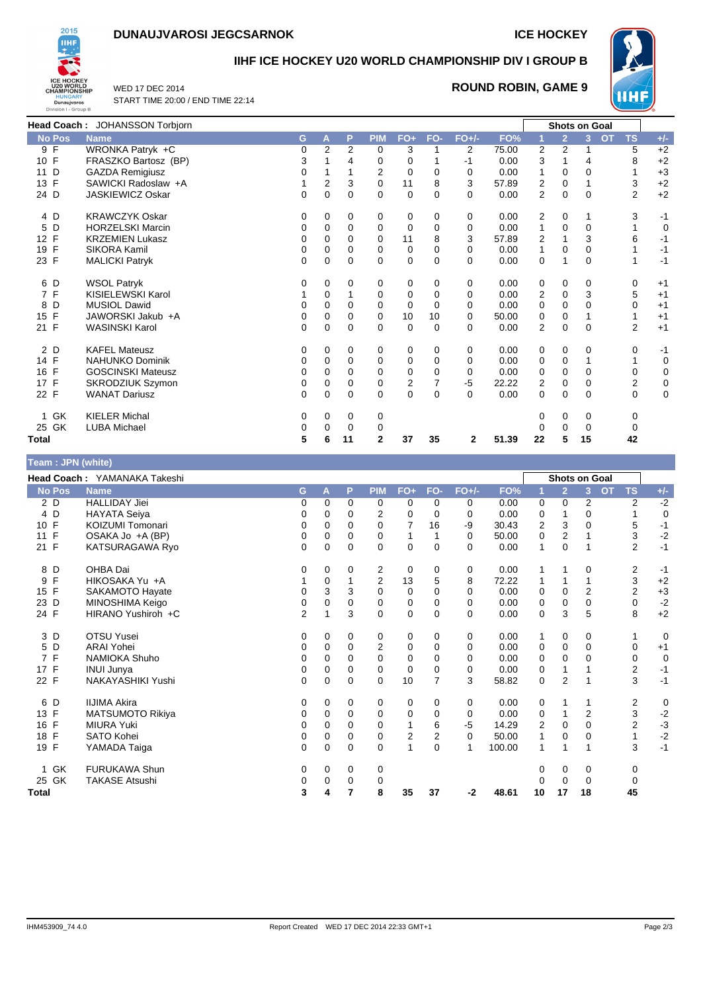## **DUNAUJVAROSI JEGCSARNOK ICE HOCKEY**



## **IIHF ICE HOCKEY U20 WORLD CHAMPIONSHIP DIV I GROUP B**

WED 17 DEC 2014 START TIME 20:00 / END TIME 22:14

## **ROUND ROBIN, GAME 9**



|               | Head Coach: JOHANSSON Torbjorn |             |                |          |                |                |                |          |       |                |                | <b>Shots on Goal</b> |                        |             |
|---------------|--------------------------------|-------------|----------------|----------|----------------|----------------|----------------|----------|-------|----------------|----------------|----------------------|------------------------|-------------|
| <b>No Pos</b> | <b>Name</b>                    | G           | A              | P        | <b>PIM</b>     | $FO+$          | FO-            | $FO+/-$  | FO%   |                | $\overline{2}$ | 3                    | <b>OT</b><br><b>TS</b> | $+/-$       |
| 9F            | WRONKA Patryk +C               | $\mathbf 0$ | $\overline{2}$ | 2        | 0              | 3              |                | 2        | 75.00 | 2              | 2              |                      | 5                      | $+2$        |
| 10 F          | FRASZKO Bartosz (BP)           | 3           |                | 4        | 0              | 0              |                | -1       | 0.00  | 3              |                | 4                    | 8                      | $+2$        |
| D<br>11       | <b>GAZDA Remigiusz</b>         | 0           |                |          | $\overline{2}$ | 0              | 0              | 0        | 0.00  | $\mathbf{1}$   | 0              | 0                    |                        | $+3$        |
| F<br>13       | SAWICKI Radoslaw +A            |             | 2              | 3        | 0              | 11             | 8              | 3        | 57.89 | 2              | 0              |                      | 3                      | $+2$        |
| 24 D          | <b>JASKIEWICZ Oskar</b>        | 0           | $\Omega$       | 0        | $\Omega$       | 0              | $\Omega$       | $\Omega$ | 0.00  | 2              | 0              | 0                    | 2                      | $+2$        |
| 4 D           | <b>KRAWCZYK Oskar</b>          | 0           | 0              | 0        | 0              | 0              | 0              | 0        | 0.00  | 2              | 0              | 1                    | 3                      | -1          |
| 5 D           | <b>HORZELSKI Marcin</b>        | 0           | 0              | 0        | 0              | 0              | 0              | 0        | 0.00  | 1              | $\mathbf 0$    | 0                    |                        | $\mathbf 0$ |
| 12 F          | <b>KRZEMIEN Lukasz</b>         | 0           | 0              | 0        | $\Omega$       | 11             | 8              | 3        | 57.89 | 2              |                | 3                    | 6                      | $-1$        |
| F<br>19       | SIKORA Kamil                   | 0           | $\Omega$       | 0        | 0              | 0              | 0              | 0        | 0.00  | 1              | 0              | 0                    |                        | $-1$        |
| 23 F          | <b>MALICKI Patryk</b>          | $\Omega$    | 0              | 0        | $\Omega$       | $\mathbf 0$    | $\Omega$       | $\Omega$ | 0.00  | 0              |                | 0                    |                        | $-1$        |
| 6 D           | <b>WSOL Patryk</b>             | 0           | 0              | 0        | 0              | 0              | 0              | 0        | 0.00  | 0              | 0              | 0                    | 0                      | $+1$        |
| 7 F           | KISIELEWSKI Karol              |             | $\Omega$       | 1        | $\Omega$       | $\mathbf 0$    | 0              | 0        | 0.00  | 2              | 0              | 3                    | 5                      | $+1$        |
| D<br>8        | <b>MUSIOL Dawid</b>            | 0           | 0              | 0        | 0              | 0              | 0              | 0        | 0.00  | 0              | 0              | 0                    | 0                      | $+1$        |
| 15 F          | JAWORSKI Jakub +A              | 0           | $\Omega$       | 0        | 0              | 10             | 10             | $\Omega$ | 50.00 | 0              | 0              |                      |                        | $+1$        |
| 21 F          | <b>WASINSKI Karol</b>          | 0           | 0              | 0        | 0              | 0              | 0              | 0        | 0.00  | $\overline{2}$ | 0              | 0                    | $\overline{2}$         | $+1$        |
| 2 D           | <b>KAFEL Mateusz</b>           | 0           | 0              | 0        | 0              | 0              | 0              | 0        | 0.00  | 0              | 0              | 0                    | 0                      | -1          |
| 14 F          | <b>NAHUNKO Dominik</b>         | 0           | 0              | 0        | 0              | 0              | 0              | 0        | 0.00  | 0              | 0              |                      |                        | 0           |
| 16 F          | <b>GOSCINSKI Mateusz</b>       | 0           | $\Omega$       | 0        | 0              | $\mathbf 0$    | 0              | 0        | 0.00  | 0              | 0              | 0                    | 0                      | $\pmb{0}$   |
| 17 F          | SKRODZIUK Szymon               | 0           | 0              | 0        | 0              | $\overline{2}$ | $\overline{7}$ | -5       | 22.22 | $\overline{2}$ | $\mathbf 0$    | 0                    | $\overline{2}$         | $\mathbf 0$ |
| 22 F          | <b>WANAT Dariusz</b>           | 0           | 0              | $\Omega$ | $\Omega$       | 0              | 0              | $\Omega$ | 0.00  | 0              | 0              | 0                    | 0                      | 0           |
| GK<br>1       | <b>KIELER Michal</b>           | 0           | 0              | 0        | 0              |                |                |          |       | 0              | 0              | 0                    | 0                      |             |
| 25 GK         | <b>LUBA Michael</b>            | 0           | 0              | 0        | 0              |                |                |          |       | 0              | 0              | 0                    | 0                      |             |
| <b>Total</b>  |                                | 5           | 6              | 11       | $\mathbf 2$    | 37             | 35             | 2        | 51.39 | 22             | 5              | 15                   | 42                     |             |

| Team: JPN (white) |  |
|-------------------|--|
|                   |  |
|                   |  |

|                    | Head Coach: YAMANAKA Takeshi |                |             |             |                |                |                |          |        |              |                | <b>Shots on Goal</b> |                        |             |
|--------------------|------------------------------|----------------|-------------|-------------|----------------|----------------|----------------|----------|--------|--------------|----------------|----------------------|------------------------|-------------|
| <b>No Pos</b>      | <b>Name</b>                  | G              | A           | P           | <b>PIM</b>     | $FO+$          | FO-            | $FO+/-$  | FO%    |              | $\overline{2}$ | 3 <sup>1</sup>       | <b>OT</b><br><b>TS</b> | $+/-$       |
| 2 D                | <b>HALLIDAY Jiei</b>         | 0              | 0           | 0           | 0              | 0              | 0              | 0        | 0.00   | 0            | 0              | 2                    | 2                      | $-2$        |
| 4 D                | <b>HAYATA Seiya</b>          | 0              | 0           | 0           | 2              | 0              | $\Omega$       | 0        | 0.00   | 0            |                | 0                    |                        | $\mathbf 0$ |
| 10 F               | KOIZUMI Tomonari             | 0              | 0           | 0           | 0              | 7              | 16             | -9       | 30.43  | 2            | 3              | 0                    | 5                      | $-1$        |
| $\mathsf{F}$<br>11 | OSAKA Jo +A (BP)             | 0              | 0           | 0           | 0              | 1              |                | 0        | 50.00  | 0            | 2              |                      | 3                      | $-2$        |
| 21 F               | KATSURAGAWA Ryo              | 0              | $\mathbf 0$ | $\mathbf 0$ | 0              | $\mathbf 0$    | $\mathbf 0$    | $\Omega$ | 0.00   | $\mathbf{1}$ | $\mathbf 0$    |                      | $\overline{2}$         | $-1$        |
| 8<br>D             | OHBA Dai                     | 0              | 0           | 0           | 2              | 0              | 0              | 0        | 0.00   | 1            |                | 0                    | 2                      | $-1$        |
| F<br>9             | HIKOSAKA Yu +A               |                | 0           | 1           | $\overline{2}$ | 13             | 5              | 8        | 72.22  | 1            | 1              |                      | 3                      | $+2$        |
| 15 F               | SAKAMOTO Hayate              | 0              | 3           | 3           | 0              | 0              | $\Omega$       | $\Omega$ | 0.00   | 0            | $\mathbf 0$    | 2                    | 2                      | $+3$        |
| 23 D               | MINOSHIMA Keigo              | 0              | 0           | 0           | 0              | 0              | 0              | 0        | 0.00   | 0            | 0              | 0                    | 0                      | $-2$        |
| 24 F               | HIRANO Yushiroh +C           | $\overline{2}$ |             | 3           | $\Omega$       | $\mathbf 0$    | $\Omega$       | $\Omega$ | 0.00   | 0            | 3              | 5                    | 8                      | $+2$        |
| 3 D                | <b>OTSU Yusei</b>            | 0              | 0           | 0           | 0              | 0              | 0              | 0        | 0.00   | 1            | 0              | 0                    |                        | 0           |
| 5 D                | <b>ARAI Yohei</b>            | 0              | 0           | 0           | $\overline{2}$ | 0              | $\mathbf 0$    | 0        | 0.00   | 0            | 0              | 0                    | 0                      | $+1$        |
| 7 F                | <b>NAMIOKA Shuho</b>         | 0              | $\Omega$    | 0           | 0              | 0              | $\Omega$       | 0        | 0.00   | 0            | 0              | $\Omega$             | 0                      | $\mathbf 0$ |
| 17 F               | <b>INUI Junya</b>            | 0              | 0           | 0           | 0              | 0              | $\mathbf 0$    | 0        | 0.00   | 0            |                |                      | $\mathbf 2$            | $-1$        |
| 22 F               | NAKAYASHIKI Yushi            | 0              | 0           | $\mathbf 0$ | 0              | 10             | $\overline{7}$ | 3        | 58.82  | 0            | 2              |                      | 3                      | $-1$        |
| 6 D                | <b>IIJIMA Akira</b>          | 0              | 0           | 0           | 0              | 0              | 0              | 0        | 0.00   | 0            | 1              |                      | 2                      | 0           |
| 13 F               | MATSUMOTO Rikiya             | 0              | 0           | 0           | 0              | 0              | 0              | 0        | 0.00   | 0            |                | $\overline{2}$       | 3                      | $-2$        |
| $\mathsf{F}$<br>16 | <b>MIURA Yuki</b>            | 0              | $\Omega$    | $\Omega$    | 0              |                | 6              | $-5$     | 14.29  | 2            | 0              | $\Omega$             | $\overline{2}$         | $-3$        |
| $\mathsf{F}$<br>18 | <b>SATO Kohei</b>            | 0              | 0           | 0           | 0              | $\overline{2}$ | $\overline{c}$ | 0        | 50.00  | 1            | 0              | 0                    |                        | $-2$        |
| 19 F               | YAMADA Taiga                 | 0              | 0           | $\Omega$    | 0              | 1              | $\Omega$       | 1        | 100.00 | 1            | 1              |                      | 3                      | $-1$        |
| 1 GK               | <b>FURUKAWA Shun</b>         | 0              | 0           | 0           | 0              |                |                |          |        | 0            | 0              | 0                    | 0                      |             |
| 25 GK              | <b>TAKASE Atsushi</b>        | 0              | 0           | 0           | 0              |                |                |          |        | 0            | 0              | 0                    | 0                      |             |
| <b>Total</b>       |                              | 3              | 4           | 7           | 8              | 35             | 37             | -2       | 48.61  | 10           | 17             | 18                   | 45                     |             |